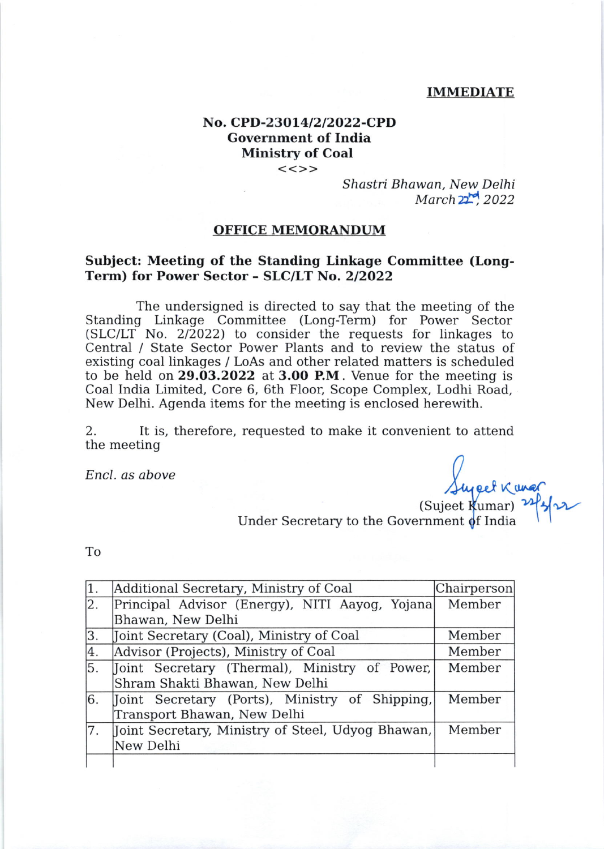#### IMMEDIATE

## No. CPD-23014/2/2022-CPD Government of India Ministry of Coal

 $<<>>$ 

Shastri Bhawan, New. Delhi  $March 22$ <sup>rd</sup>  $2022$ 

### OFFICE MEMORANDUM

### Subject: Meeting of the Standing Linkage Committee (Long-Term) for Power Sector - SLC/LT No. 2/2022

The undersigned is directed to say that the meeting of the Standing Linkage Committee (Long-Term) for Power Sector  $(SLC/LT$  No. 2/2022) to consider the requests for linkages to Central / State Sector Power Plants and to review the status of existing coal linkages / LoAs and other related matters is scheduled to be held on 29.O3.2022 at 3.OO P.M. Venue for the meeting is Coal India Limited, Core 6, 6th Floor, Scope Complex, Lodhi Road, New Delhi. Agenda items for the meeting is enclosed herewith.

2. It is, therefore, requested to make it convenient to attend the meeting

Encl. as above

(Sujeet Kumar) Under Secretary to the Government  $\phi$ f India

To

| $\vert$ 1. | Additional Secretary, Ministry of Coal            | Chairperson |
|------------|---------------------------------------------------|-------------|
| 2.         | Principal Advisor (Energy), NITI Aayog, Yojana    | Member      |
|            | Bhawan, New Delhi                                 |             |
| 3.         | Joint Secretary (Coal), Ministry of Coal          | Member      |
| 4.         | Advisor (Projects), Ministry of Coal              | Member      |
| 5.         | Joint Secretary (Thermal), Ministry of Power,     | Member      |
|            | Shram Shakti Bhawan, New Delhi                    |             |
| 6.         | Joint Secretary (Ports), Ministry of Shipping,    | Member      |
|            | Transport Bhawan, New Delhi                       |             |
| 17.        | Joint Secretary, Ministry of Steel, Udyog Bhawan, | Member      |
|            | New Delhi                                         |             |
|            |                                                   |             |